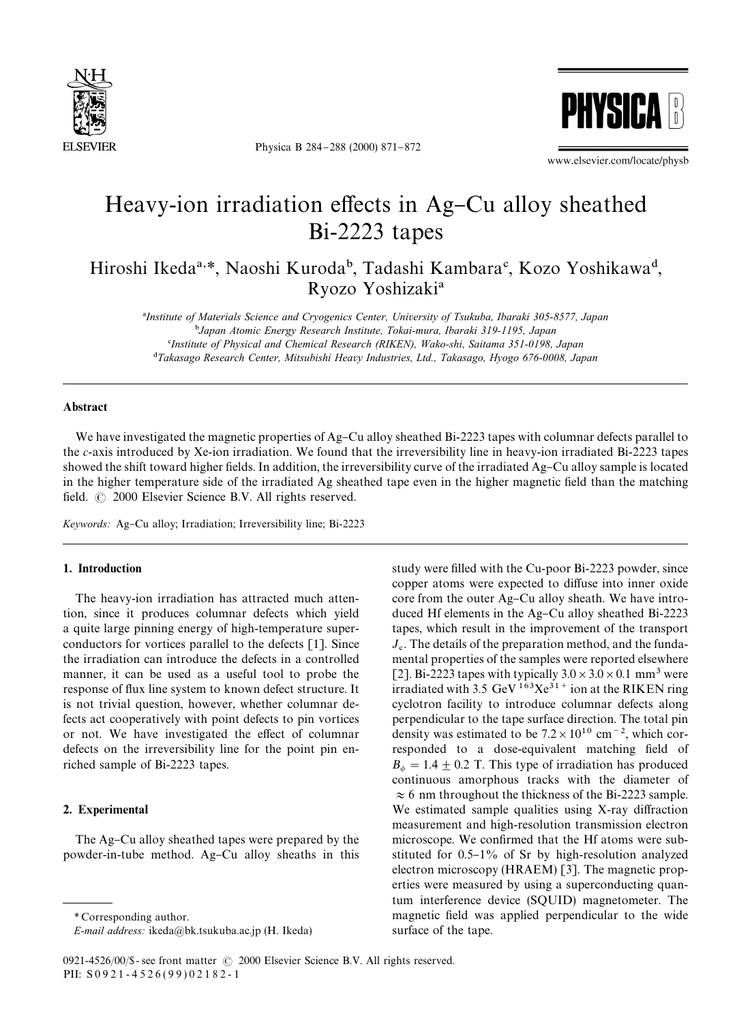

Physica B 284-288 (2000) 871-872



www.elsevier.com/locate/physb

# Heavy-ion irradiation effects in Ag–Cu alloy sheathed Bi-2223 tapes

Hiroshi Ikeda<sup>a,\*</sup>, Naoshi Kuroda<sup>b</sup>, Tadashi Kambara<sup>c</sup>, Kozo Yoshikawa<sup>d</sup>, Ryozo Yoshizaki<sup>a</sup>

!*Institute of Materials Science and Cryogenics Center, University of Tsukuba, Ibaraki 305-8577, Japan* "*Japan Atomic Energy Research Institute, Tokai-mura, Ibaraki 319-1195, Japan* #*Institute of Physical and Chemical Research (RIKEN), Wako-shi, Saitama 351-0198, Japan* \$*Takasago Research Center, Mitsubishi Heavy Industries, Ltd., Takasago, Hyogo 676-0008, Japan*

# Abstract

We have investigated the magnetic properties of  $Ag$ –Cu alloy sheathed Bi-2223 tapes with columnar defects parallel to the *c*-axis introduced by Xe-ion irradiation. We found that the irreversibility line in heavy-ion irradiated Bi-2223 tapes showed the shift toward higher fields. In addition, the irreversibility curve of the irradiated Ag–Cu alloy sample is located in the higher temperature side of the irradiated Ag sheathed tape even in the higher magnetic field than the matching field.  $\odot$  2000 Elsevier Science B.V. All rights reserved.

*Keywords:* Ag–Cu alloy; Irradiation; Irreversibility line; Bi-2223

## 1. Introduction

The heavy-ion irradiation has attracted much attention, since it produces columnar defects which yield a quite large pinning energy of high-temperature superconductors for vortices parallel to the defects [1]. Since the irradiation can introduce the defects in a controlled manner, it can be used as a useful tool to probe the response of flux line system to known defect structure. It is not trivial question, however, whether columnar defects act cooperatively with point defects to pin vortices or not. We have investigated the effect of columnar defects on the irreversibility line for the point pin enriched sample of Bi-2223 tapes.

## 2. Experimental

The Ag–Cu alloy sheathed tapes were prepared by the powder-in-tube method. Ag-Cu alloy sheaths in this study were filled with the Cu-poor Bi-2223 powder, since copper atoms were expected to diffuse into inner oxide core from the outer Ag-Cu alloy sheath. We have introduced Hf elements in the Ag-Cu alloy sheathed Bi-2223 tapes, which result in the improvement of the transport  $J_c$ . The details of the preparation method, and the fundamental properties of the samples were reported elsewhere [2]. Bi-2223 tapes with typically  $3.0 \times 3.0 \times 0.1$  mm<sup>3</sup> were irradiated with 3.5 GeV  $163 \text{Xe}^{31}$  ion at the RIKEN ring cyclotron facility to introduce columnar defects along perpendicular to the tape surface direction. The total pin density was estimated to be  $7.2 \times 10^{10}$  cm<sup>-2</sup>, which corresponded to a dose-equivalent matching field of  $B_{\phi} = 1.4 \pm 0.2$  T. This type of irradiation has produced continuous amorphous tracks with the diameter of  $\approx$  6 nm throughout the thickness of the Bi-2223 sample. We estimated sample qualities using X-ray diffraction measurement and high-resolution transmission electron microscope. We confirmed that the Hf atoms were substituted for  $0.5-1\%$  of Sr by high-resolution analyzed electron microscopy (HRAEM) [3]. The magnetic properties were measured by using a superconducting quantum interference device (SQUID) magnetometer. The magnetic field was applied perpendicular to the wide surface of the tape.

*<sup>\*</sup>* Corresponding author.

*E-mail address:* ikeda@bk.tsukuba.ac.jp (H. Ikeda)